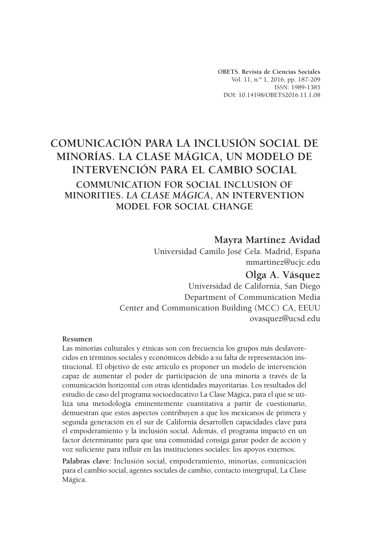**OBETS. Revista de Ciencias Sociales** Vol. 11, n.º 1, 2016, pp. 187-209 ISSN: 1989-1385 DOI: 10.14198/OBETS2016.11.1.08

# **COMUNICACIÓN PARA LA INCLUSIÓN SOCIAL DE MINORÍAS. LA CLASE MÁGICA, UN MODELO DE INTERVENCIÓN PARA EL CAMBIO SOCIAL COMMUNICATION FOR SOCIAL INCLUSION OF MINORITIES.** *LA CLASE MÁGICA***, AN INTERVENTION MODEL FOR SOCIAL CHANGE**

# **Mayra Martínez Avidad**

Universidad Camilo José Cela. Madrid, España mmartinez@ucjc.edu

# **Olga A. Vásquez**

Universidad de California, San Diego Department of Communication Media Center and Communication Building (MCC) CA, EEUU ovasquez@ucsd.edu

#### **Resumen**

Las minorías culturales y étnicas son con frecuencia los grupos más desfavorecidos en términos sociales y económicos debido a su falta de representación institucional. El objetivo de este artículo es proponer un modelo de intervención capaz de aumentar el poder de participación de una minoría a través de la comunicación horizontal con otras identidades mayoritarias. Los resultados del estudio de caso del programa socioeducativo La Clase Mágica, para el que se utiliza una metodología eminentemente cuantitativa a partir de cuestionario, demuestran que estos aspectos contribuyen a que los mexicanos de primera y segunda generación en el sur de California desarrollen capacidades clave para el empoderamiento y la inclusión social. Además, el programa impactó en un factor determinante para que una comunidad consiga ganar poder de acción y voz suficiente para influir en las instituciones sociales: los apoyos externos.

**Palabras clave**: Inclusión social, empoderamiento, minorías, comunicación para el cambio social, agentes sociales de cambio, contacto intergrupal, La Clase Mágica.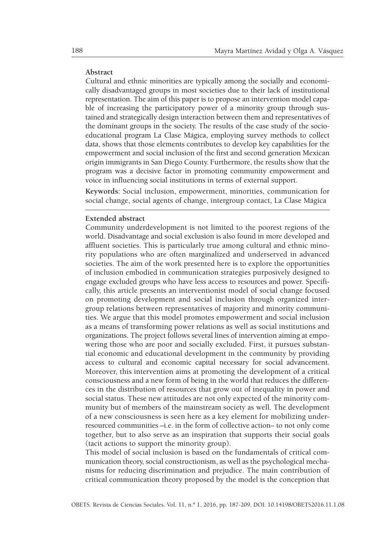#### **Abstract**

Cultural and ethnic minorities are typically among the socially and economically disadvantaged groups in most societies due to their lack of institutional representation. The aim of this paper is to propose an intervention model capable of increasing the participatory power of a minority group through sustained and strategically design interaction between them and representatives of the dominant groups in the society. The results of the case study of the socioeducational program La Clase Mágica, employing survey methods to collect data, shows that those elements contributes to develop key capabilities for the empowerment and social inclusion of the first and second generation Mexican origin immigrants in San Diego County. Furthermore, the results show that the program was a decisive factor in promoting community empowerment and voice in influencing social institutions in terms of external support.

**Keywords**: Social inclusion, empowerment, minorities, communication for social change, social agents of change, intergroup contact, La Clase Mágica

#### **Extended abstract**

Community underdevelopment is not limited to the poorest regions of the world. Disadvantage and social exclusion is also found in more developed and affluent societies. This is particularly true among cultural and ethnic minority populations who are often marginalized and underserved in advanced societies. The aim of the work presented here is to explore the opportunities of inclusion embodied in communication strategies purposively designed to engage excluded groups who have less access to resources and power. Specifically, this article presents an interventionist model of social change focused on promoting development and social inclusion through organized intergroup relations between representatives of majority and minority communities. We argue that this model promotes empowerment and social inclusion as a means of transforming power relations as well as social institutions and organizations. The project follows several lines of intervention aiming at empowering those who are poor and socially excluded. First, it pursues substantial economic and educational development in the community by providing access to cultural and economic capital necessary for social advancement. Moreover, this intervention aims at promoting the development of a critical consciousness and a new form of being in the world that reduces the differences in the distribution of resources that grow out of inequality in power and social status. These new attitudes are not only expected of the minority community but of members of the mainstream society as well. The development of a new consciousness is seen here as a key element for mobilizing underresourced communities –i.e. in the form of collective action– to not only come together, but to also serve as an inspiration that supports their social goals (tacit actions to support the minority group).

This model of social inclusion is based on the fundamentals of critical communication theory, social constructionism, as well as the psychological mechanisms for reducing discrimination and prejudice. The main contribution of critical communication theory proposed by the model is the conception that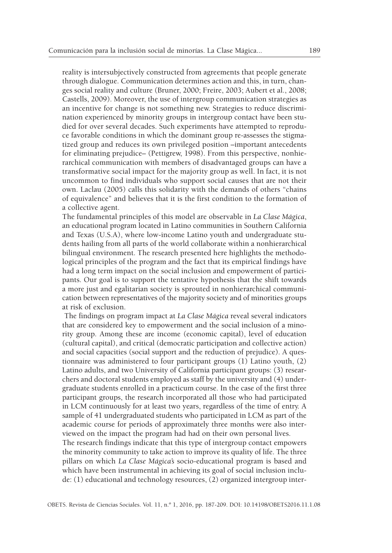reality is intersubjectively constructed from agreements that people generate through dialogue. Communication determines action and this, in turn, changes social reality and culture (Bruner, 2000; Freire, 2003; Aubert et al., 2008; Castells, 2009). Moreover, the use of intergroup communication strategies as an incentive for change is not something new. Strategies to reduce discrimination experienced by minority groups in intergroup contact have been studied for over several decades. Such experiments have attempted to reproduce favorable conditions in which the dominant group re-assesses the stigmatized group and reduces its own privileged position –important antecedents for eliminating prejudice– (Pettigrew, 1998). From this perspective, nonhierarchical communication with members of disadvantaged groups can have a transformative social impact for the majority group as well. In fact, it is not uncommon to find individuals who support social causes that are not their own. Laclau (2005) calls this solidarity with the demands of others "chains of equivalence" and believes that it is the first condition to the formation of a collective agent.

The fundamental principles of this model are observable in *La Clase Mágica*, an educational program located in Latino communities in Southern California and Texas (U.S.A), where low-income Latino youth and undergraduate students hailing from all parts of the world collaborate within a nonhierarchical bilingual environment. The research presented here highlights the methodological principles of the program and the fact that its empirical findings have had a long term impact on the social inclusion and empowerment of participants. Our goal is to support the tentative hypothesis that the shift towards a more just and egalitarian society is sprouted in nonhierarchical communication between representatives of the majority society and of minorities groups at risk of exclusion.

The findings on program impact at *La Clase Mágica* reveal several indicators that are considered key to empowerment and the social inclusion of a minority group. Among these are income (economic capital), level of education (cultural capital), and critical (democratic participation and collective action) and social capacities (social support and the reduction of prejudice). A questionnaire was administered to four participant groups (1) Latino youth, (2) Latino adults, and two University of California participant groups: (3) researchers and doctoral students employed as staff by the university and (4) undergraduate students enrolled in a practicum course. In the case of the first three participant groups, the research incorporated all those who had participated in LCM continuously for at least two years, regardless of the time of entry. A sample of 41 undergraduated students who participated in LCM as part of the academic course for periods of approximately three months were also interviewed on the impact the program had had on their own personal lives.

The research findings indicate that this type of intergroup contact empowers the minority community to take action to improve its quality of life. The three pillars on which *La Clase Mágica's* socio-educational program is based and which have been instrumental in achieving its goal of social inclusion include: (1) educational and technology resources, (2) organized intergroup inter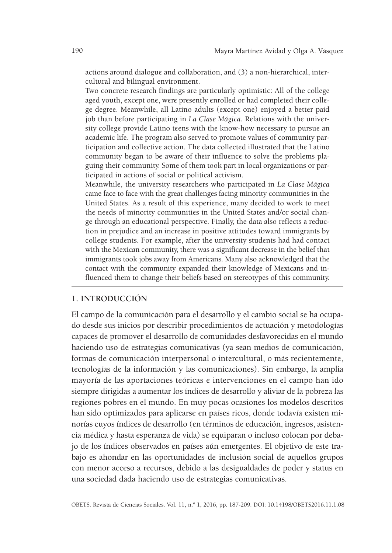actions around dialogue and collaboration, and (3) a non-hierarchical, intercultural and bilingual environment.

Two concrete research findings are particularly optimistic: All of the college aged youth, except one, were presently enrolled or had completed their college degree. Meanwhile, all Latino adults (except one) enjoyed a better paid job than before participating in *La Clase Mágica*. Relations with the university college provide Latino teens with the know-how necessary to pursue an academic life. The program also served to promote values of community participation and collective action. The data collected illustrated that the Latino community began to be aware of their influence to solve the problems plaguing their community. Some of them took part in local organizations or participated in actions of social or political activism.

Meanwhile, the university researchers who participated in *La Clase Mágica* came face to face with the great challenges facing minority communities in the United States. As a result of this experience, many decided to work to meet the needs of minority communities in the United States and/or social change through an educational perspective. Finally, the data also reflects a reduction in prejudice and an increase in positive attitudes toward immigrants by college students. For example, after the university students had had contact with the Mexican community, there was a significant decrease in the belief that immigrants took jobs away from Americans. Many also acknowledged that the contact with the community expanded their knowledge of Mexicans and influenced them to change their beliefs based on stereotypes of this community.

#### **1. INTRODUCCIÓN**

El campo de la comunicación para el desarrollo y el cambio social se ha ocupado desde sus inicios por describir procedimientos de actuación y metodologías capaces de promover el desarrollo de comunidades desfavorecidas en el mundo haciendo uso de estrategias comunicativas (ya sean medios de comunicación, formas de comunicación interpersonal o intercultural, o más recientemente, tecnologías de la información y las comunicaciones). Sin embargo, la amplia mayoría de las aportaciones teóricas e intervenciones en el campo han ido siempre dirigidas a aumentar los índices de desarrollo y aliviar de la pobreza las regiones pobres en el mundo. En muy pocas ocasiones los modelos descritos han sido optimizados para aplicarse en países ricos, donde todavía existen minorías cuyos índices de desarrollo (en términos de educación, ingresos, asistencia médica y hasta esperanza de vida) se equiparan o incluso colocan por debajo de los índices observados en países aún emergentes. El objetivo de este trabajo es ahondar en las oportunidades de inclusión social de aquellos grupos con menor acceso a recursos, debido a las desigualdades de poder y status en una sociedad dada haciendo uso de estrategias comunicativas.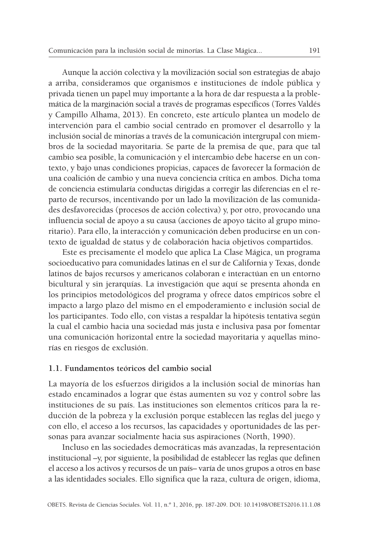Aunque la acción colectiva y la movilización social son estrategias de abajo a arriba, consideramos que organismos e instituciones de índole pública y privada tienen un papel muy importante a la hora de dar respuesta a la problemática de la marginación social a través de programas específicos (Torres Valdés y Campillo Alhama, 2013). En concreto, este artículo plantea un modelo de intervención para el cambio social centrado en promover el desarrollo y la inclusión social de minorías a través de la comunicación intergrupal con miembros de la sociedad mayoritaria. Se parte de la premisa de que, para que tal cambio sea posible, la comunicación y el intercambio debe hacerse en un contexto, y bajo unas condiciones propicias, capaces de favorecer la formación de una coalición de cambio y una nueva conciencia crítica en ambos. Dicha toma de conciencia estimularía conductas dirigidas a corregir las diferencias en el reparto de recursos, incentivando por un lado la movilización de las comunidades desfavorecidas (procesos de acción colectiva) y, por otro, provocando una influencia social de apoyo a su causa (acciones de apoyo tácito al grupo minoritario). Para ello, la interacción y comunicación deben producirse en un contexto de igualdad de status y de colaboración hacia objetivos compartidos.

Este es precisamente el modelo que aplica La Clase Mágica, un programa socioeducativo para comunidades latinas en el sur de California y Texas, donde latinos de bajos recursos y americanos colaboran e interactúan en un entorno bicultural y sin jerarquías. La investigación que aquí se presenta ahonda en los principios metodológicos del programa y ofrece datos empíricos sobre el impacto a largo plazo del mismo en el empoderamiento e inclusión social de los participantes. Todo ello, con vistas a respaldar la hipótesis tentativa según la cual el cambio hacia una sociedad más justa e inclusiva pasa por fomentar una comunicación horizontal entre la sociedad mayoritaria y aquellas minorías en riesgos de exclusión.

#### **1.1. Fundamentos teóricos del cambio social**

La mayoría de los esfuerzos dirigidos a la inclusión social de minorías han estado encaminados a lograr que éstas aumenten su voz y control sobre las instituciones de su país. Las instituciones son elementos críticos para la reducción de la pobreza y la exclusión porque establecen las reglas del juego y con ello, el acceso a los recursos, las capacidades y oportunidades de las personas para avanzar socialmente hacia sus aspiraciones (North, 1990).

Incluso en las sociedades democráticas más avanzadas, la representación institucional –y, por siguiente, la posibilidad de establecer las reglas que definen el acceso a los activos y recursos de un país– varía de unos grupos a otros en base a las identidades sociales. Ello significa que la raza, cultura de origen, idioma,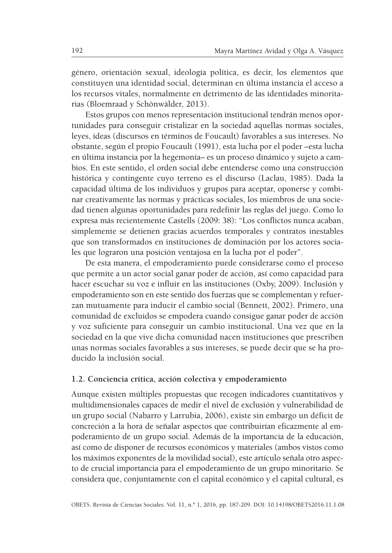género, orientación sexual, ideología política, es decir, los elementos que constituyen una identidad social, determinan en última instancia el acceso a los recursos vitales, normalmente en detrimento de las identidades minoritarias (Bloemraad y Schönwälder, 2013).

Estos grupos con menos representación institucional tendrán menos oportunidades para conseguir cristalizar en la sociedad aquellas normas sociales, leyes, ideas (discursos en términos de Foucault) favorables a sus intereses. No obstante, según el propio Foucault (1991), esta lucha por el poder –esta lucha en última instancia por la hegemonía– es un proceso dinámico y sujeto a cambios. En este sentido, el orden social debe entenderse como una construcción histórica y contingente cuyo terreno es el discurso (Laclau, 1985). Dada la capacidad última de los individuos y grupos para aceptar, oponerse y combinar creativamente las normas y prácticas sociales, los miembros de una sociedad tienen algunas oportunidades para redefinir las reglas del juego. Como lo expresa más recientemente Castells (2009: 38): "Los conflictos nunca acaban, simplemente se detienen gracias acuerdos temporales y contratos inestables que son transformados en instituciones de dominación por los actores sociales que lograron una posición ventajosa en la lucha por el poder".

De esta manera, el empoderamiento puede considerarse como el proceso que permite a un actor social ganar poder de acción, así como capacidad para hacer escuchar su voz e influir en las instituciones (Oxby, 2009). Inclusión y empoderamiento son en este sentido dos fuerzas que se complementan y refuerzan mutuamente para inducir el cambio social (Bennett, 2002). Primero, una comunidad de excluidos se empodera cuando consigue ganar poder de acción y voz suficiente para conseguir un cambio institucional. Una vez que en la sociedad en la que vive dicha comunidad nacen instituciones que prescriben unas normas sociales favorables a sus intereses, se puede decir que se ha producido la inclusión social.

#### **1.2. Conciencia crítica, acción colectiva y empoderamiento**

Aunque existen múltiples propuestas que recogen indicadores cuantitativos y multidimensionales capaces de medir el nivel de exclusión y vulnerabilidad de un grupo social (Nabarro y Larrubia, 2006), existe sin embargo un déficit de concreción a la hora de señalar aspectos que contribuirían eficazmente al empoderamiento de un grupo social. Además de la importancia de la educación, así como de disponer de recursos económicos y materiales (ambos vistos como los máximos exponentes de la movilidad social), este artículo señala otro aspecto de crucial importancia para el empoderamiento de un grupo minoritario. Se considera que, conjuntamente con el capital económico y el capital cultural, es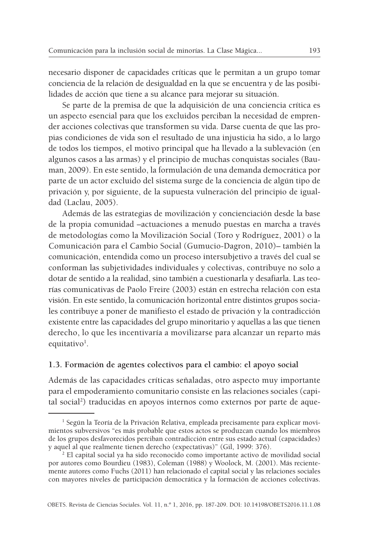necesario disponer de capacidades críticas que le permitan a un grupo tomar conciencia de la relación de desigualdad en la que se encuentra y de las posibilidades de acción que tiene a su alcance para mejorar su situación.

Se parte de la premisa de que la adquisición de una conciencia crítica es un aspecto esencial para que los excluidos perciban la necesidad de emprender acciones colectivas que transformen su vida. Darse cuenta de que las propias condiciones de vida son el resultado de una injusticia ha sido, a lo largo de todos los tiempos, el motivo principal que ha llevado a la sublevación (en algunos casos a las armas) y el principio de muchas conquistas sociales (Bauman, 2009). En este sentido, la formulación de una demanda democrática por parte de un actor excluido del sistema surge de la conciencia de algún tipo de privación y, por siguiente, de la supuesta vulneración del principio de igualdad (Laclau, 2005).

Además de las estrategias de movilización y concienciación desde la base de la propia comunidad –actuaciones a menudo puestas en marcha a través de metodologías como la Movilización Social (Toro y Rodríguez, 2001) o la Comunicación para el Cambio Social (Gumucio-Dagron, 2010)– también la comunicación, entendida como un proceso intersubjetivo a través del cual se conforman las subjetividades individuales y colectivas, contribuye no solo a dotar de sentido a la realidad, sino también a cuestionarla y desafiarla. Las teorías comunicativas de Paolo Freire (2003) están en estrecha relación con esta visión. En este sentido, la comunicación horizontal entre distintos grupos sociales contribuye a poner de manifiesto el estado de privación y la contradicción existente entre las capacidades del grupo minoritario y aquellas a las que tienen derecho, lo que les incentivaría a movilizarse para alcanzar un reparto más equitativo<sup>1</sup>.

#### **1.3. Formación de agentes colectivos para el cambio: el apoyo social**

Además de las capacidades críticas señaladas, otro aspecto muy importante para el empoderamiento comunitario consiste en las relaciones sociales (capital social 2 ) traducidas en apoyos internos como externos por parte de aque-

<sup>&</sup>lt;sup>1</sup> Según la Teoría de la Privación Relativa, empleada precisamente para explicar movimientos subversivos "es más probable que estos actos se produzcan cuando los miembros de los grupos desfavorecidos perciban contradicción entre sus estado actual (capacidades) y aquel al que realmente tienen derecho (expectativas)" (Gil, 1999: 376).

<sup>2</sup> El capital social ya ha sido reconocido como importante activo de movilidad social por autores como Bourdieu (1983), Coleman (1988) y Woolock, M. (2001). Más recientemente autores como Fuchs (2011) han relacionado el capital social y las relaciones sociales con mayores niveles de participación democrática y la formación de acciones colectivas.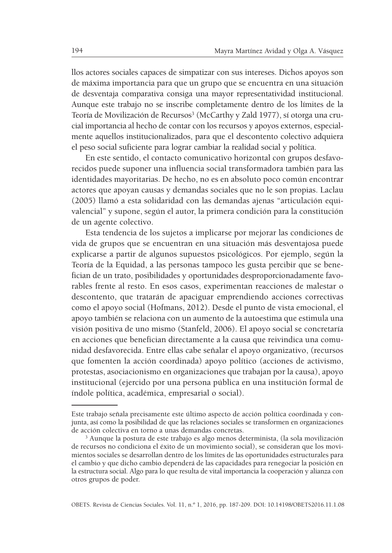llos actores sociales capaces de simpatizar con sus intereses. Dichos apoyos son de máxima importancia para que un grupo que se encuentra en una situación de desventaja comparativa consiga una mayor representatividad institucional. Aunque este trabajo no se inscribe completamente dentro de los límites de la Teoría de Movilización de Recursos<sup>3</sup> (McCarthy y Zald 1977), sí otorga una crucial importancia al hecho de contar con los recursos y apoyos externos, especialmente aquellos institucionalizados, para que el descontento colectivo adquiera el peso social suficiente para lograr cambiar la realidad social y política.

En este sentido, el contacto comunicativo horizontal con grupos desfavorecidos puede suponer una influencia social transformadora también para las identidades mayoritarias. De hecho, no es en absoluto poco común encontrar actores que apoyan causas y demandas sociales que no le son propias. Laclau (2005) llamó a esta solidaridad con las demandas ajenas "articulación equivalencial" y supone, según el autor, la primera condición para la constitución de un agente colectivo.

Esta tendencia de los sujetos a implicarse por mejorar las condiciones de vida de grupos que se encuentran en una situación más desventajosa puede explicarse a partir de algunos supuestos psicológicos. Por ejemplo, según la Teoría de la Equidad, a las personas tampoco les gusta percibir que se benefician de un trato, posibilidades y oportunidades desproporcionadamente favorables frente al resto. En esos casos, experimentan reacciones de malestar o descontento, que tratarán de apaciguar emprendiendo acciones correctivas como el apoyo social (Hofmans, 2012). Desde el punto de vista emocional, el apoyo también se relaciona con un aumento de la autoestima que estimula una visión positiva de uno mismo (Stanfeld, 2006). El apoyo social se concretaría en acciones que benefician directamente a la causa que reivindica una comunidad desfavorecida. Entre ellas cabe señalar el apoyo organizativo, (recursos que fomenten la acción coordinada) apoyo político (acciones de activismo, protestas, asociacionismo en organizaciones que trabajan por la causa), apoyo institucional (ejercido por una persona pública en una institución formal de índole política, académica, empresarial o social).

Este trabajo señala precisamente este último aspecto de acción política coordinada y conjunta, así como la posibilidad de que las relaciones sociales se transformen en organizaciones de acción colectiva en torno a unas demandas concretas.

<sup>3</sup> Aunque la postura de este trabajo es algo menos determinista, (la sola movilización de recursos no condiciona el éxito de un movimiento social), se consideran que los movimientos sociales se desarrollan dentro de los límites de las oportunidades estructurales para el cambio y que dicho cambio dependerá de las capacidades para renegociar la posición en la estructura social. Algo para lo que resulta de vital importancia la cooperación y alianza con otros grupos de poder.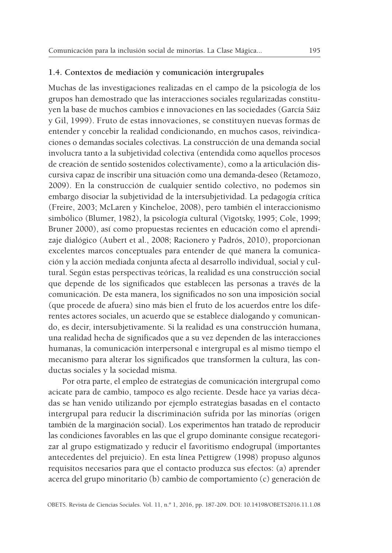#### **1.4. Contextos de mediación y comunicación intergrupales**

Muchas de las investigaciones realizadas en el campo de la psicología de los grupos han demostrado que las interacciones sociales regularizadas constituyen la base de muchos cambios e innovaciones en las sociedades (García Sáiz y Gil, 1999). Fruto de estas innovaciones, se constituyen nuevas formas de entender y concebir la realidad condicionando, en muchos casos, reivindicaciones o demandas sociales colectivas. La construcción de una demanda social involucra tanto a la subjetividad colectiva (entendida como aquellos procesos de creación de sentido sostenidos colectivamente), como a la articulación discursiva capaz de inscribir una situación como una demanda-deseo (Retamozo, 2009). En la construcción de cualquier sentido colectivo, no podemos sin embargo disociar la subjetividad de la intersubjetividad. La pedagogía crítica (Freire, 2003; McLaren y Kincheloe, 2008), pero también el interaccionismo simbólico (Blumer, 1982), la psicología cultural (Vigotsky, 1995; Cole, 1999; Bruner 2000), así como propuestas recientes en educación como el aprendizaje dialógico (Aubert et al., 2008; Racionero y Padrós, 2010), proporcionan excelentes marcos conceptuales para entender de qué manera la comunicación y la acción mediada conjunta afecta al desarrollo individual, social y cultural. Según estas perspectivas teóricas, la realidad es una construcción social que depende de los significados que establecen las personas a través de la comunicación. De esta manera, los significados no son una imposición social (que procede de afuera) sino más bien el fruto de los acuerdos entre los diferentes actores sociales, un acuerdo que se establece dialogando y comunicando, es decir, intersubjetivamente. Si la realidad es una construcción humana, una realidad hecha de significados que a su vez dependen de las interacciones humanas, la comunicación interpersonal e intergrupal es al mismo tiempo el mecanismo para alterar los significados que transformen la cultura, las conductas sociales y la sociedad misma.

Por otra parte, el empleo de estrategias de comunicación intergrupal como acicate para de cambio, tampoco es algo reciente. Desde hace ya varias décadas se han venido utilizando por ejemplo estrategias basadas en el contacto intergrupal para reducir la discriminación sufrida por las minorías (origen también de la marginación social). Los experimentos han tratado de reproducir las condiciones favorables en las que el grupo dominante consigue recategorizar al grupo estigmatizado y reducir el favoritismo endogrupal (importantes antecedentes del prejuicio). En esta línea Pettigrew (1998) propuso algunos requisitos necesarios para que el contacto produzca sus efectos: (a) aprender acerca del grupo minoritario (b) cambio de comportamiento (c) generación de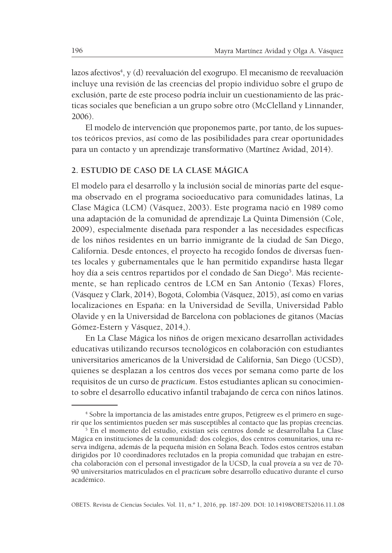lazos afectivos<sup>4</sup>, y (d) reevaluación del exogrupo. El mecanismo de reevaluación incluye una revisión de las creencias del propio individuo sobre el grupo de exclusión, parte de este proceso podría incluir un cuestionamiento de las prácticas sociales que benefician a un grupo sobre otro (McClelland y Linnander, 2006).

El modelo de intervención que proponemos parte, por tanto, de los supuestos teóricos previos, así como de las posibilidades para crear oportunidades para un contacto y un aprendizaje transformativo (Martínez Avidad, 2014).

# **2. ESTUDIO DE CASO DE LA CLASE MÁGICA**

El modelo para el desarrollo y la inclusión social de minorías parte del esquema observado en el programa socioeducativo para comunidades latinas, La Clase Mágica (LCM) (Vásquez, 2003). Este programa nació en 1989 como una adaptación de la comunidad de aprendizaje La Quinta Dimensión (Cole, 2009), especialmente diseñada para responder a las necesidades específicas de los niños residentes en un barrio inmigrante de la ciudad de San Diego, California. Desde entonces, el proyecto ha recogido fondos de diversas fuentes locales y gubernamentales que le han permitido expandirse hasta llegar hoy día a seis centros repartidos por el condado de San Diego<sup>5</sup>. Más recientemente, se han replicado centros de LCM en San Antonio (Texas) Flores, (Vásquez y Clark, 2014), Bogotá, Colombia (Vásquez, 2015), así como en varias localizaciones en España: en la Universidad de Sevilla, Universidad Pablo Olavide y en la Universidad de Barcelona con poblaciones de gitanos (Macías Gómez-Estern y Vásquez, 2014,).

En La Clase Mágica los niños de origen mexicano desarrollan actividades educativas utilizando recursos tecnológicos en colaboración con estudiantes universitarios americanos de la Universidad de California, San Diego (UCSD), quienes se desplazan a los centros dos veces por semana como parte de los requisitos de un curso de *practicum*. Estos estudiantes aplican su conocimiento sobre el desarrollo educativo infantil trabajando de cerca con niños latinos.

<sup>4</sup> Sobre la importancia de las amistades entre grupos, Petigreew es el primero en sugerir que los sentimientos pueden ser más susceptibles al contacto que las propias creencias.

<sup>5</sup> En el momento del estudio, existían seis centros donde se desarrollaba La Clase Mágica en instituciones de la comunidad: dos colegios, dos centros comunitarios, una reserva indígena, además de la pequeña misión en Solana Beach. Todos estos centros estaban dirigidos por 10 coordinadores reclutados en la propia comunidad que trabajan en estrecha colaboración con el personal investigador de la UCSD, la cual proveía a su vez de 70- 90 universitarios matriculados en el *practicum* sobre desarrollo educativo durante el curso académico.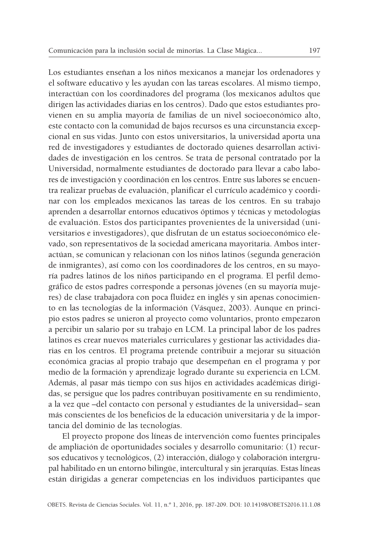Los estudiantes enseñan a los niños mexicanos a manejar los ordenadores y el software educativo y les ayudan con las tareas escolares. Al mismo tiempo, interactúan con los coordinadores del programa (los mexicanos adultos que dirigen las actividades diarias en los centros). Dado que estos estudiantes provienen en su amplia mayoría de familias de un nivel socioeconómico alto, este contacto con la comunidad de bajos recursos es una circunstancia excepcional en sus vidas. Junto con estos universitarios, la universidad aporta una red de investigadores y estudiantes de doctorado quienes desarrollan actividades de investigación en los centros. Se trata de personal contratado por la Universidad, normalmente estudiantes de doctorado para llevar a cabo labores de investigación y coordinación en los centros. Entre sus labores se encuentra realizar pruebas de evaluación, planificar el currículo académico y coordinar con los empleados mexicanos las tareas de los centros. En su trabajo aprenden a desarrollar entornos educativos óptimos y técnicas y metodologías de evaluación. Estos dos participantes provenientes de la universidad (universitarios e investigadores), que disfrutan de un estatus socioeconómico elevado, son representativos de la sociedad americana mayoritaria. Ambos interactúan, se comunican y relacionan con los niños latinos (segunda generación de inmigrantes), así como con los coordinadores de los centros, en su mayoría padres latinos de los niños participando en el programa. El perfil demográfico de estos padres corresponde a personas jóvenes (en su mayoría mujeres) de clase trabajadora con poca fluidez en inglés y sin apenas conocimiento en las tecnologías de la información (Vásquez, 2003). Aunque en principio estos padres se unieron al proyecto como voluntarios, pronto empezaron a percibir un salario por su trabajo en LCM. La principal labor de los padres latinos es crear nuevos materiales curriculares y gestionar las actividades diarias en los centros. El programa pretende contribuir a mejorar su situación económica gracias al propio trabajo que desempeñan en el programa y por medio de la formación y aprendizaje logrado durante su experiencia en LCM. Además, al pasar más tiempo con sus hijos en actividades académicas dirigidas, se persigue que los padres contribuyan positivamente en su rendimiento, a la vez que –del contacto con personal y estudiantes de la universidad– sean más conscientes de los beneficios de la educación universitaria y de la importancia del dominio de las tecnologías.

El proyecto propone dos líneas de intervención como fuentes principales de ampliación de oportunidades sociales y desarrollo comunitario: (1) recursos educativos y tecnológicos, (2) interacción, diálogo y colaboración intergrupal habilitado en un entorno bilingüe, intercultural y sin jerarquías. Estas líneas están dirigidas a generar competencias en los individuos participantes que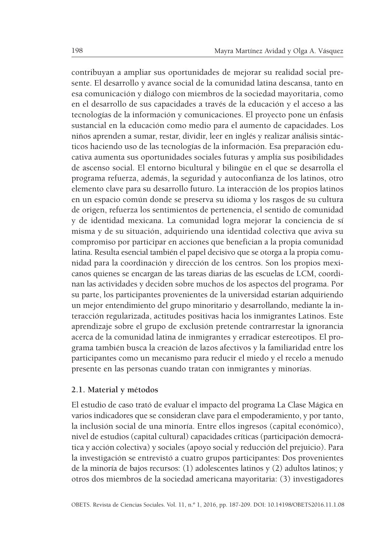contribuyan a ampliar sus oportunidades de mejorar su realidad social presente. El desarrollo y avance social de la comunidad latina descansa, tanto en esa comunicación y diálogo con miembros de la sociedad mayoritaria, como en el desarrollo de sus capacidades a través de la educación y el acceso a las tecnologías de la información y comunicaciones. El proyecto pone un énfasis sustancial en la educación como medio para el aumento de capacidades. Los niños aprenden a sumar, restar, dividir, leer en inglés y realizar análisis sintácticos haciendo uso de las tecnologías de la información. Esa preparación educativa aumenta sus oportunidades sociales futuras y amplía sus posibilidades de ascenso social. El entorno bicultural y bilingüe en el que se desarrolla el programa refuerza, además, la seguridad y autoconfianza de los latinos, otro elemento clave para su desarrollo futuro. La interacción de los propios latinos en un espacio común donde se preserva su idioma y los rasgos de su cultura de origen, refuerza los sentimientos de pertenencia, el sentido de comunidad y de identidad mexicana. La comunidad logra mejorar la conciencia de sí misma y de su situación, adquiriendo una identidad colectiva que aviva su compromiso por participar en acciones que benefician a la propia comunidad latina. Resulta esencial también el papel decisivo que se otorga a la propia comunidad para la coordinación y dirección de los centros. Son los propios mexicanos quienes se encargan de las tareas diarias de las escuelas de LCM, coordinan las actividades y deciden sobre muchos de los aspectos del programa. Por su parte, los participantes provenientes de la universidad estarían adquiriendo un mejor entendimiento del grupo minoritario y desarrollando, mediante la interacción regularizada, actitudes positivas hacia los inmigrantes Latinos. Este aprendizaje sobre el grupo de exclusión pretende contrarrestar la ignorancia acerca de la comunidad latina de inmigrantes y erradicar estereotipos. El programa también busca la creación de lazos afectivos y la familiaridad entre los participantes como un mecanismo para reducir el miedo y el recelo a menudo presente en las personas cuando tratan con inmigrantes y minorías.

#### **2.1. Material y métodos**

El estudio de caso trató de evaluar el impacto del programa La Clase Mágica en varios indicadores que se consideran clave para el empoderamiento, y por tanto, la inclusión social de una minoría. Entre ellos ingresos (capital económico), nivel de estudios (capital cultural) capacidades críticas (participación democrática y acción colectiva) y sociales (apoyo social y reducción del prejuicio). Para la investigación se entrevistó a cuatro grupos participantes: Dos provenientes de la minoría de bajos recursos: (1) adolescentes latinos y (2) adultos latinos; y otros dos miembros de la sociedad americana mayoritaria: (3) investigadores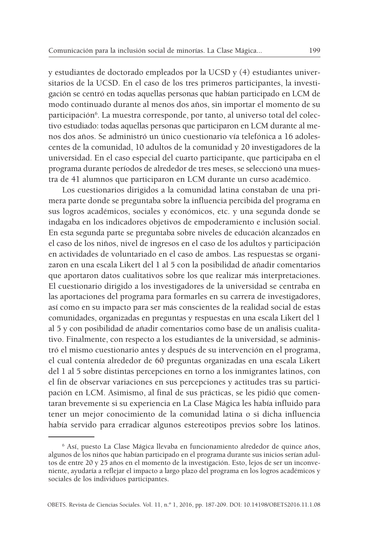y estudiantes de doctorado empleados por la UCSD y (4) estudiantes universitarios de la UCSD. En el caso de los tres primeros participantes, la investigación se centró en todas aquellas personas que habían participado en LCM de modo continuado durante al menos dos años, sin importar el momento de su participación<sup>6</sup>. La muestra corresponde, por tanto, al universo total del colectivo estudiado: todas aquellas personas que participaron en LCM durante al menos dos años. Se administró un único cuestionario vía telefónica a 16 adolescentes de la comunidad, 10 adultos de la comunidad y 20 investigadores de la universidad. En el caso especial del cuarto participante, que participaba en el programa durante períodos de alrededor de tres meses, se seleccionó una muestra de 41 alumnos que participaron en LCM durante un curso académico.

Los cuestionarios dirigidos a la comunidad latina constaban de una primera parte donde se preguntaba sobre la influencia percibida del programa en sus logros académicos, sociales y económicos, etc. y una segunda donde se indagaba en los indicadores objetivos de empoderamiento e inclusión social. En esta segunda parte se preguntaba sobre niveles de educación alcanzados en el caso de los niños, nivel de ingresos en el caso de los adultos y participación en actividades de voluntariado en el caso de ambos. Las respuestas se organizaron en una escala Likert del 1 al 5 con la posibilidad de añadir comentarios que aportaron datos cualitativos sobre los que realizar más interpretaciones. El cuestionario dirigido a los investigadores de la universidad se centraba en las aportaciones del programa para formarles en su carrera de investigadores, así como en su impacto para ser más conscientes de la realidad social de estas comunidades, organizadas en preguntas y respuestas en una escala Likert del 1 al 5 y con posibilidad de añadir comentarios como base de un análisis cualitativo. Finalmente, con respecto a los estudiantes de la universidad, se administró el mismo cuestionario antes y después de su intervención en el programa, el cual contenía alrededor de 60 preguntas organizadas en una escala Likert del 1 al 5 sobre distintas percepciones en torno a los inmigrantes latinos, con el fin de observar variaciones en sus percepciones y actitudes tras su participación en LCM. Asimismo, al final de sus prácticas, se les pidió que comentaran brevemente si su experiencia en La Clase Mágica les había influido para tener un mejor conocimiento de la comunidad latina o si dicha influencia había servido para erradicar algunos estereotipos previos sobre los latinos.

<sup>6</sup> Así, puesto La Clase Mágica llevaba en funcionamiento alrededor de quince años, algunos de los niños que habían participado en el programa durante sus inicios serían adultos de entre 20 y 25 años en el momento de la investigación. Esto, lejos de ser un inconveniente, ayudaría a reflejar el impacto a largo plazo del programa en los logros académicos y sociales de los individuos participantes.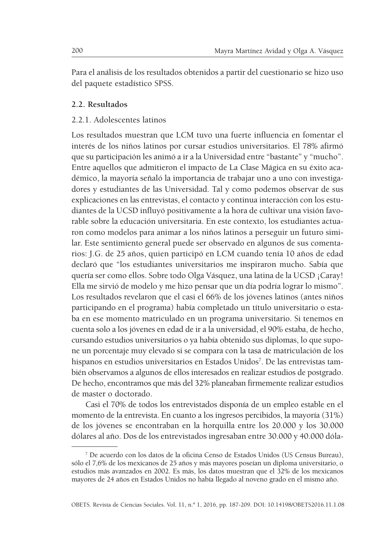Para el análisis de los resultados obtenidos a partir del cuestionario se hizo uso del paquete estadístico SPSS.

### **2.2. Resultados**

#### 2.2.1. Adolescentes latinos

Los resultados muestran que LCM tuvo una fuerte influencia en fomentar el interés de los niños latinos por cursar estudios universitarios. El 78% afirmó que su participación les animó a ir a la Universidad entre "bastante" y "mucho". Entre aquellos que admitieron el impacto de La Clase Mágica en su éxito académico, la mayoría señaló la importancia de trabajar uno a uno con investigadores y estudiantes de las Universidad. Tal y como podemos observar de sus explicaciones en las entrevistas, el contacto y continua interacción con los estudiantes de la UCSD influyó positivamente a la hora de cultivar una visión favorable sobre la educación universitaria. En este contexto, los estudiantes actuaron como modelos para animar a los niños latinos a perseguir un futuro similar. Este sentimiento general puede ser observado en algunos de sus comentarios: J.G. de 25 años, quien participó en LCM cuando tenía 10 años de edad declaró que "los estudiantes universitarios me inspiraron mucho. Sabía que quería ser como ellos. Sobre todo Olga Vásquez, una latina de la UCSD ¡Caray! Ella me sirvió de modelo y me hizo pensar que un día podría lograr lo mismo". Los resultados revelaron que el casi el 66% de los jóvenes latinos (antes niños participando en el programa) había completado un título universitario o estaba en ese momento matriculado en un programa universitario. Si tenemos en cuenta solo a los jóvenes en edad de ir a la universidad, el 90% estaba, de hecho, cursando estudios universitarios o ya había obtenido sus diplomas, lo que supone un porcentaje muy elevado si se compara con la tasa de matriculación de los hispanos en estudios universitarios en Estados Unidos<sup>7</sup>. De las entrevistas también observamos a algunos de ellos interesados en realizar estudios de postgrado. De hecho, encontramos que más del 32% planeaban firmemente realizar estudios de master o doctorado.

Casi el 70% de todos los entrevistados disponía de un empleo estable en el momento de la entrevista. En cuanto a los ingresos percibidos, la mayoría (31%) de los jóvenes se encontraban en la horquilla entre los 20.000 y los 30.000 dólares al año. Dos de los entrevistados ingresaban entre 30.000 y 40.000 dóla-

<sup>7</sup> De acuerdo con los datos de la oficina Censo de Estados Unidos (US Census Bureau), sólo el 7,6% de los mexicanos de 25 años y más mayores poseían un diploma universitario, o estudios más avanzados en 2002. Es más, los datos muestran que el 32% de los mexicanos mayores de 24 años en Estados Unidos no había llegado al noveno grado en el mismo año.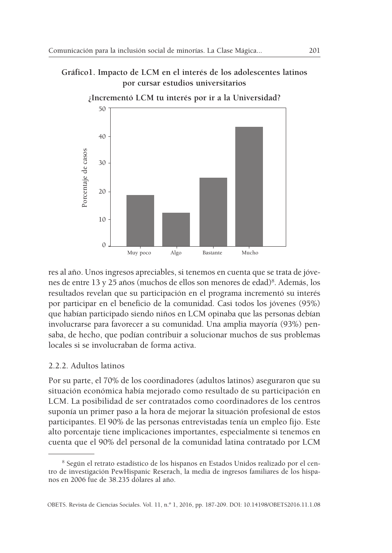# **Gráfico1. Impacto de LCM en el interés de los adolescentes latinos por cursar estudios universitarios**



res al año. Unos ingresos apreciables, si tenemos en cuenta que se trata de jóvenes de entre 13 y 25 años (muchos de ellos son menores de edad)8 . Además, los resultados revelan que su participación en el programa incrementó su interés por participar en el beneficio de la comunidad. Casi todos los jóvenes (95%) que habían participado siendo niños en LCM opinaba que las personas debían involucrarse para favorecer a su comunidad. Una amplia mayoría (93%) pensaba, de hecho, que podían contribuir a solucionar muchos de sus problemas locales si se involucraban de forma activa.

## 2.2.2. Adultos latinos

Por su parte, el 70% de los coordinadores (adultos latinos) aseguraron que su situación económica había mejorado como resultado de su participación en LCM. La posibilidad de ser contratados como coordinadores de los centros suponía un primer paso a la hora de mejorar la situación profesional de estos participantes. El 90% de las personas entrevistadas tenía un empleo fijo. Este alto porcentaje tiene implicaciones importantes, especialmente si tenemos en cuenta que el 90% del personal de la comunidad latina contratado por LCM

<sup>8</sup> Según el retrato estadístico de los hispanos en Estados Unidos realizado por el centro de investigación PewHispanic Reserach, la media de ingresos familiares de los hispanos en 2006 fue de 38.235 dólares al año.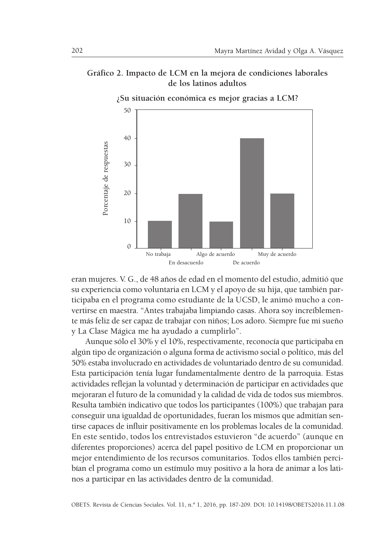# **Gráfico 2. Impacto de LCM en la mejora de condiciones laborales de los latinos adultos**



eran mujeres. V. G., de 48 años de edad en el momento del estudio, admitió que su experiencia como voluntaria en LCM y el apoyo de su hija, que también participaba en el programa como estudiante de la UCSD, le animó mucho a convertirse en maestra. "Antes trabajaba limpiando casas. Ahora soy increíblemente más feliz de ser capaz de trabajar con niños; Los adoro. Siempre fue mi sueño y La Clase Mágica me ha ayudado a cumplirlo".

Aunque sólo el 30% y el 10%, respectivamente, reconocía que participaba en algún tipo de organización o alguna forma de activismo social o político, más del 50% estaba involucrado en actividades de voluntariado dentro de su comunidad. Esta participación tenía lugar fundamentalmente dentro de la parroquia. Estas actividades reflejan la voluntad y determinación de participar en actividades que mejoraran el futuro de la comunidad y la calidad de vida de todos sus miembros. Resulta también indicativo que todos los participantes (100%) que trabajan para conseguir una igualdad de oportunidades, fueran los mismos que admitían sentirse capaces de influir positivamente en los problemas locales de la comunidad. En este sentido, todos los entrevistados estuvieron "de acuerdo" (aunque en diferentes proporciones) acerca del papel positivo de LCM en proporcionar un mejor entendimiento de los recursos comunitarios. Todos ellos también percibían el programa como un estímulo muy positivo a la hora de animar a los latinos a participar en las actividades dentro de la comunidad.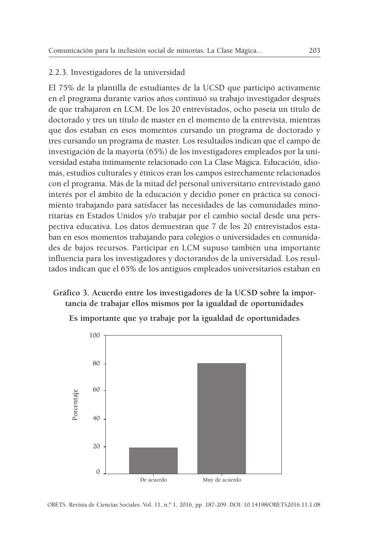#### 2.2.3. Investigadores de la universidad

El 75% de la plantilla de estudiantes de la UCSD que participó activamente en el programa durante varios años continuó su trabajo investigador después de que trabajaron en LCM. De los 20 entrevistados, ocho poseía un título de doctorado y tres un título de master en el momento de la entrevista, mientras que dos estaban en esos momentos cursando un programa de doctorado y tres cursando un programa de master. Los resultados indican que el campo de investigación de la mayoría (65%) de los investigadores empleados por la universidad estaba íntimamente relacionado con La Clase Mágica. Educación, idiomas, estudios culturales y étnicos eran los campos estrechamente relacionados con el programa. Más de la mitad del personal universitario entrevistado ganó interés por el ámbito de la educación y decidió poner en práctica su conocimiento trabajando para satisfacer las necesidades de las comunidades minoritarias en Estados Unidos y/o trabajar por el cambio social desde una perspectiva educativa. Los datos demuestran que 7 de los 20 entrevistados estaban en esos momentos trabajando para colegios o universidades en comunidades de bajos recursos. Participar en LCM supuso también una importante influencia para los investigadores y doctorandos de la universidad. Los resultados indican que el 65% de los antiguos empleados universitarios estaban en

# **Gráfico 3. Acuerdo entre los investigadores de la UCSD sobre la importancia de trabajar ellos mismos por la igualdad de oportunidades**



**Es importante que yo trabaje por la igualdad de oportunidades**

OBETS. Revista de Ciencias Sociales. Vol. 11, n.º 1, 2016, pp. 187-209. DOI: 10.14198/OBETS2016.11.1.08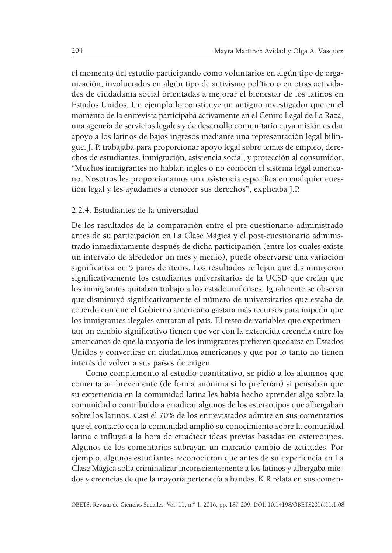el momento del estudio participando como voluntarios en algún tipo de organización, involucrados en algún tipo de activismo político o en otras actividades de ciudadanía social orientadas a mejorar el bienestar de los latinos en Estados Unidos. Un ejemplo lo constituye un antiguo investigador que en el momento de la entrevista participaba activamente en el Centro Legal de La Raza, una agencia de servicios legales y de desarrollo comunitario cuya misión es dar apoyo a los latinos de bajos ingresos mediante una representación legal bilingüe. J. P. trabajaba para proporcionar apoyo legal sobre temas de empleo, derechos de estudiantes, inmigración, asistencia social, y protección al consumidor. "Muchos inmigrantes no hablan inglés o no conocen el sistema legal americano. Nosotros les proporcionamos una asistencia específica en cualquier cuestión legal y les ayudamos a conocer sus derechos", explicaba J.P.

#### 2.2.4. Estudiantes de la universidad

De los resultados de la comparación entre el pre-cuestionario administrado antes de su participación en La Clase Mágica y el post-cuestionario administrado inmediatamente después de dicha participación (entre los cuales existe un intervalo de alrededor un mes y medio), puede observarse una variación significativa en 5 pares de ítems. Los resultados reflejan que disminuyeron significativamente los estudiantes universitarios de la UCSD que creían que los inmigrantes quitaban trabajo a los estadounidenses. Igualmente se observa que disminuyó significativamente el número de universitarios que estaba de acuerdo con que el Gobierno americano gastara más recursos para impedir que los inmigrantes ilegales entraran al país. El resto de variables que experimentan un cambio significativo tienen que ver con la extendida creencia entre los americanos de que la mayoría de los inmigrantes prefieren quedarse en Estados Unidos y convertirse en ciudadanos americanos y que por lo tanto no tienen interés de volver a sus países de origen.

Como complemento al estudio cuantitativo, se pidió a los alumnos que comentaran brevemente (de forma anónima si lo preferían) si pensaban que su experiencia en la comunidad latina les había hecho aprender algo sobre la comunidad o contribuido a erradicar algunos de los estereotipos que albergaban sobre los latinos. Casi el 70% de los entrevistados admite en sus comentarios que el contacto con la comunidad amplió su conocimiento sobre la comunidad latina e influyó a la hora de erradicar ideas previas basadas en estereotipos. Algunos de los comentarios subrayan un marcado cambio de actitudes. Por ejemplo, algunos estudiantes reconocieron que antes de su experiencia en La Clase Mágica solía criminalizar inconscientemente a los latinos y albergaba miedos y creencias de que la mayoría pertenecía a bandas. K.R relata en sus comen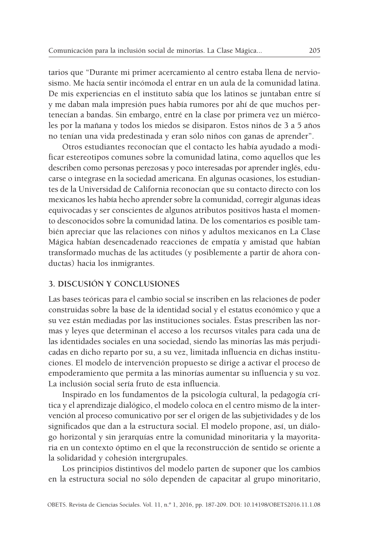tarios que "Durante mi primer acercamiento al centro estaba llena de nerviosismo. Me hacía sentir incómoda el entrar en un aula de la comunidad latina. De mis experiencias en el instituto sabía que los latinos se juntaban entre sí y me daban mala impresión pues había rumores por ahí de que muchos pertenecían a bandas. Sin embargo, entré en la clase por primera vez un miércoles por la mañana y todos los miedos se disiparon. Estos niños de 3 a 5 años no tenían una vida predestinada y eran sólo niños con ganas de aprender".

Otros estudiantes reconocían que el contacto les había ayudado a modificar estereotipos comunes sobre la comunidad latina, como aquellos que les describen como personas perezosas y poco interesadas por aprender inglés, educarse o integrase en la sociedad americana. En algunas ocasiones, los estudiantes de la Universidad de California reconocían que su contacto directo con los mexicanos les había hecho aprender sobre la comunidad, corregir algunas ideas equivocadas y ser conscientes de algunos atributos positivos hasta el momento desconocidos sobre la comunidad latina. De los comentarios es posible también apreciar que las relaciones con niños y adultos mexicanos en La Clase Mágica habían desencadenado reacciones de empatía y amistad que habían transformado muchas de las actitudes (y posiblemente a partir de ahora conductas) hacia los inmigrantes.

#### **3. DISCUSIÓN Y CONCLUSIONES**

Las bases teóricas para el cambio social se inscriben en las relaciones de poder construidas sobre la base de la identidad social y el estatus económico y que a su vez están mediadas por las instituciones sociales. Éstas prescriben las normas y leyes que determinan el acceso a los recursos vitales para cada una de las identidades sociales en una sociedad, siendo las minorías las más perjudicadas en dicho reparto por su, a su vez, limitada influencia en dichas instituciones. El modelo de intervención propuesto se dirige a activar el proceso de empoderamiento que permita a las minorías aumentar su influencia y su voz. La inclusión social sería fruto de esta influencia.

Inspirado en los fundamentos de la psicología cultural, la pedagogía crítica y el aprendizaje dialógico, el modelo coloca en el centro mismo de la intervención al proceso comunicativo por ser el origen de las subjetividades y de los significados que dan a la estructura social. El modelo propone, así, un diálogo horizontal y sin jerarquías entre la comunidad minoritaria y la mayoritaria en un contexto óptimo en el que la reconstrucción de sentido se oriente a la solidaridad y cohesión intergrupales.

Los principios distintivos del modelo parten de suponer que los cambios en la estructura social no sólo dependen de capacitar al grupo minoritario,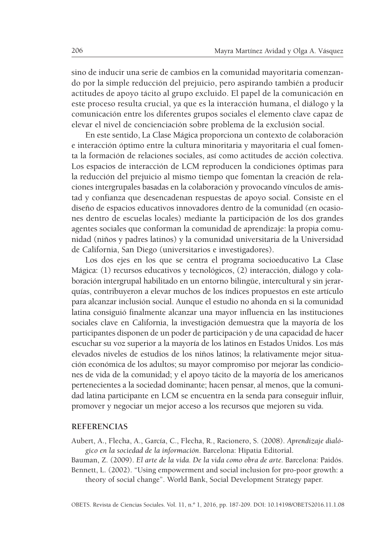sino de inducir una serie de cambios en la comunidad mayoritaria comenzando por la simple reducción del prejuicio, pero aspirando también a producir actitudes de apoyo tácito al grupo excluido. El papel de la comunicación en este proceso resulta crucial, ya que es la interacción humana, el diálogo y la comunicación entre los diferentes grupos sociales el elemento clave capaz de elevar el nivel de concienciación sobre problema de la exclusión social.

En este sentido, La Clase Mágica proporciona un contexto de colaboración e interacción óptimo entre la cultura minoritaria y mayoritaria el cual fomenta la formación de relaciones sociales, así como actitudes de acción colectiva. Los espacios de interacción de LCM reproducen la condiciones óptimas para la reducción del prejuicio al mismo tiempo que fomentan la creación de relaciones intergrupales basadas en la colaboración y provocando vínculos de amistad y confianza que desencadenan respuestas de apoyo social. Consiste en el diseño de espacios educativos innovadores dentro de la comunidad (en ocasiones dentro de escuelas locales) mediante la participación de los dos grandes agentes sociales que conforman la comunidad de aprendizaje: la propia comunidad (niños y padres latinos) y la comunidad universitaria de la Universidad de California, San Diego (universitarios e investigadores).

Los dos ejes en los que se centra el programa socioeducativo La Clase Mágica: (1) recursos educativos y tecnológicos, (2) interacción, diálogo y colaboración intergrupal habilitado en un entorno bilingüe, intercultural y sin jerarquías, contribuyeron a elevar muchos de los índices propuestos en este artículo para alcanzar inclusión social. Aunque el estudio no ahonda en si la comunidad latina consiguió finalmente alcanzar una mayor influencia en las instituciones sociales clave en California, la investigación demuestra que la mayoría de los participantes disponen de un poder de participación y de una capacidad de hacer escuchar su voz superior a la mayoría de los latinos en Estados Unidos. Los más elevados niveles de estudios de los niños latinos; la relativamente mejor situación económica de los adultos; su mayor compromiso por mejorar las condiciones de vida de la comunidad; y el apoyo tácito de la mayoría de los americanos pertenecientes a la sociedad dominante; hacen pensar, al menos, que la comunidad latina participante en LCM se encuentra en la senda para conseguir influir, promover y negociar un mejor acceso a los recursos que mejoren su vida.

#### **REFERENCIAS**

Aubert, A., Flecha, A., García, C., Flecha, R., Racionero, S. (2008). *Aprendizaje dialógico en la sociedad de la información*. Barcelona: Hipatia Editorial.

Bauman, Z. (2009). *El arte de la vida. De la vida como obra de arte.* Barcelona: Paidós. Bennett, L. (2002). "Using empowerment and social inclusion for pro-poor growth: a

theory of social change". World Bank, Social Development Strategy paper.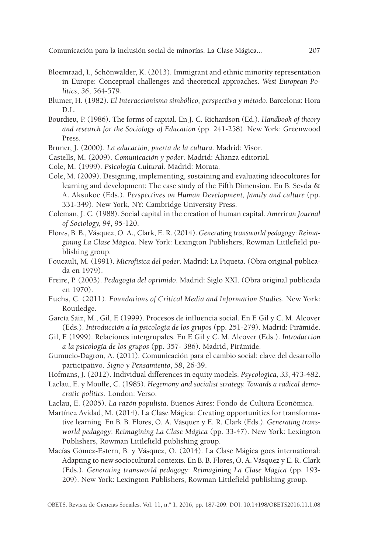- Bloemraad, I., Schönwälder, K. (2013). Immigrant and ethnic minority representation in Europe: Conceptual challenges and theoretical approaches. *West European Politics*, *36*, 564-579.
- Blumer, H. (1982). *El Interaccionismo simbólico, perspectiva y método*. Barcelona: Hora D<sub>L</sub>
- Bourdieu, P. (1986). The forms of capital. En J. C. Richardson (Ed.). *Handbook of theory and research for the Sociology of Education* (pp. 241-258). New York: Greenwood Press.
- Bruner, J. (2000). *La educación, puerta de la cultura*. Madrid: Visor.
- Castells, M. (2009). *Comunicación y poder*. Madrid: Alianza editorial.
- Cole, M. (1999). *Psicología Cultural*. Madrid: Morata.
- Cole, M. (2009). Designing, implementing, sustaining and evaluating ideocultures for learning and development: The case study of the Fifth Dimension. En B. Sevda & A. Aksukoc (Eds.). *Perspectives on Human Development, family and culture* (pp. 331-349). New York, NY: Cambridge University Press.
- Coleman, J. C. (1988). Social capital in the creation of human capital. *American Journal of Sociology, 94*, 95-120.
- Flores, B. B., Vásquez, O. A., Clark, E. R. (2014). *Generating transworld pedagogy*: *Reimagining La Clase Mágica*. New York: Lexington Publishers, Rowman Littlefield publishing group.
- Foucault, M. (1991). *Microfísica del poder*. Madrid: La Piqueta. (Obra original publicada en 1979).
- Freire, P. (2003). *Pedagogía del oprimido*. Madrid: Siglo XXI. (Obra original publicada en 1970).
- Fuchs, C. (2011). *Foundations of Critical Media and Information Studies*. New York: Routledge.
- García Sáiz, M., Gil, F. (1999). Procesos de influencia social. En F. Gil y C. M. Alcover (Eds.). *Introducción a la psicología de los grupos* (pp. 251-279). Madrid: Pirámide.
- Gil, F. (1999). Relaciones intergrupales. En F. Gil y C. M. Alcover (Eds.). *Introducción a la psicología de los grupos* (pp. 357- 386). Madrid, Pirámide.
- Gumucio-Dagron, A. (2011). Comunicación para el cambio social: clave del desarrollo participativo. *Signo y Pensamiento*, *58*, 26-39.
- Hofmans, J. (2012). Individual differences in equity models. *Psycologica*, *33*, 473-482.
- Laclau, E. y Mouffe, C. (1985). *Hegemony and socialist strategy. Towards a radical democratic politics*. London: Verso.
- Laclau, E. (2005). *La razón populista*. Buenos Aires: Fondo de Cultura Económica.
- Martínez Avidad, M. (2014). La Clase Mágica: Creating opportunities for transformative learning. En B. B. Flores, O. A. Vásquez y E. R. Clark (Eds.). *Generating transworld pedagogy*: *Reimagining La Clase Mágica* (pp. 33-47). New York: Lexington Publishers, Rowman Littlefield publishing group.
- Macías Gómez-Estern, B. y Vásquez, O. (2014). La Clase Mágica goes international: Adapting to new sociocultural contexts. En B. B. Flores, O. A. Vásquez y E. R. Clark (Eds.). *Generating transworld pedagogy*: *Reimagining La Clase Mágica* (pp. 193- 209). New York: Lexington Publishers, Rowman Littlefield publishing group.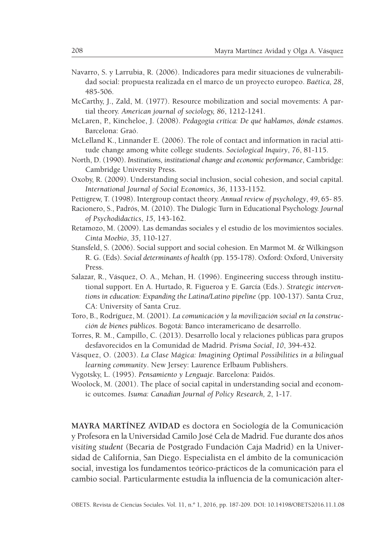- Navarro, S. y Larrubia, R. (2006). Indicadores para medir situaciones de vulnerabilidad social: propuesta realizada en el marco de un proyecto europeo. *Baética, 28*, 485-506.
- McCarthy, J., Zald, M. (1977). Resource mobilization and social movements: A partial theory. *American journal of sociology, 86*, 1212-1241.
- McLaren, P., Kincheloe, J. (2008). *Pedagogía crítica: De qué hablamos, dónde estamos*. Barcelona: Graó.
- McLelland K., Linnander E. (2006). The role of contact and information in racial attitude change among white college students. *Sociological Inquiry*, *76*, 81-115.
- North, D. (1990). *Institutions, institutional change and economic performance*, Cambridge: Cambridge University Press.
- Oxoby, R. (2009). Understanding social inclusion, social cohesion, and social capital. *International Journal of Social Economics*, *36*, 1133-1152.
- Pettigrew, T. (1998). Intergroup contact theory. *Annual review of psychology*, *49*, 65- 85.
- Racionero, S., Padrós, M. (2010). The Dialogic Turn in Educational Psychology. *Journal of Psychodidactics*, *15*, 143-162.
- Retamozo, M. (2009). Las demandas sociales y el estudio de los movimientos sociales. *Cinta Moebio*, *35*, 110-127.
- Stansfeld, S. (2006). Social support and social cohesion. En Marmot M. & Wilkingson R. G. (Eds). *Social determinants of health* (pp. 155-178). Oxford: Oxford, University Press.
- Salazar, R., Vásquez, O. A., Mehan, H. (1996). Engineering success through institutional support. En A. Hurtado, R. Figueroa y E. García (Eds.). *Strategic interventions in education: Expanding the Latina/Latino pipeline* (pp. 100-137)*.* Santa Cruz, CA: University of Santa Cruz.
- Toro, B., Rodríguez, M. (2001). *La comunicación y la movilización social en la construcción de bienes públicos*. Bogotá: Banco interamericano de desarrollo.
- Torres, R. M., Campillo, C. (2013). Desarrollo local y relaciones públicas para grupos desfavorecidos en la Comunidad de Madrid. *Prisma Social*, *10*, 394-432.
- Vásquez, O. (2003). *La Clase Mágica: Imagining Optimal Possibilities in a bilingual learning community*. New Jersey: Laurence Erlbaum Publishers.
- Vygotsky, L. (1995). *Pensamiento y Lenguaje*. Barcelona: Paidós.
- Woolock, M. (2001). The place of social capital in understanding social and economic outcomes. *Isuma: Canadian Journal of Policy Research, 2*, 1-17.

**MAYRA MARTÍNEZ AVIDAD** es doctora en Sociología de la Comunicación y Profesora en la Universidad Camilo José Cela de Madrid. Fue durante dos años *visiting student* (Becaria de Postgrado Fundación Caja Madrid) en la Universidad de California, San Diego. Especialista en el ámbito de la comunicación social, investiga los fundamentos teórico-prácticos de la comunicación para el cambio social. Particularmente estudia la influencia de la comunicación alter